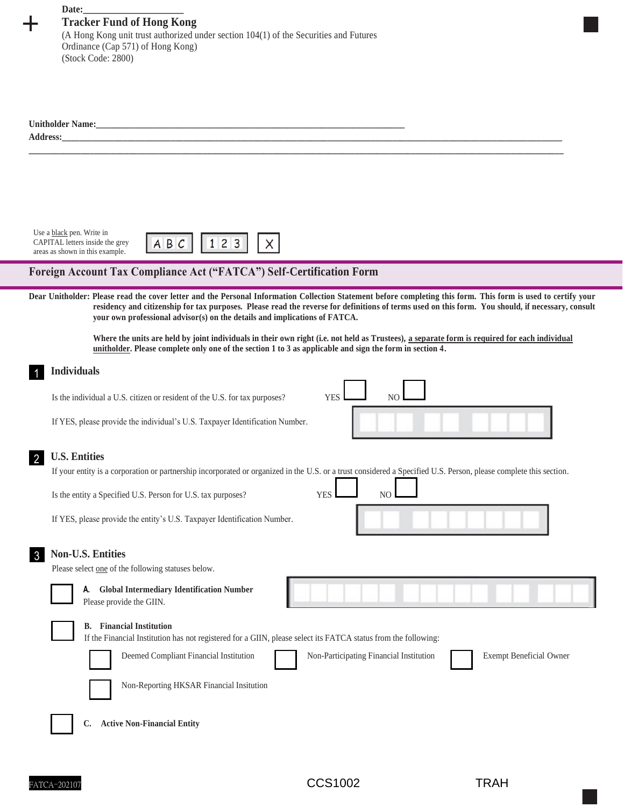| Date:<br><b>Tracker Fund of Hong Kong</b><br>(A Hong Kong unit trust authorized under section 104(1) of the Securities and Futures<br>Ordinance (Cap 571) of Hong Kong)<br>(Stock Code: 2800)                                                                                                                                                                       |
|---------------------------------------------------------------------------------------------------------------------------------------------------------------------------------------------------------------------------------------------------------------------------------------------------------------------------------------------------------------------|
|                                                                                                                                                                                                                                                                                                                                                                     |
| Use a black pen. Write in<br>ABC<br>123<br>CAPITAL letters inside the grey<br>areas as shown in this example.<br>Foreign Account Tax Compliance Act ("FATCA") Self-Certification Form                                                                                                                                                                               |
| Dear Unitholder: Please read the cover letter and the Personal Information Collection Statement before completing this form. This form is used to certify your                                                                                                                                                                                                      |
| residency and citizenship for tax purposes. Please read the reverse for definitions of terms used on this form. You should, if necessary, consult<br>your own professional advisor(s) on the details and implications of FATCA.                                                                                                                                     |
| Where the units are held by joint individuals in their own right (i.e. not held as Trustees), a separate form is required for each individual<br>unitholder. Please complete only one of the section 1 to 3 as applicable and sign the form in section 4.                                                                                                           |
| <b>Individuals</b>                                                                                                                                                                                                                                                                                                                                                  |
| <b>YES</b><br>NO.<br>Is the individual a U.S. citizen or resident of the U.S. for tax purposes?                                                                                                                                                                                                                                                                     |
| If YES, please provide the individual's U.S. Taxpayer Identification Number.                                                                                                                                                                                                                                                                                        |
| <b>U.S. Entities</b><br><u>2</u>                                                                                                                                                                                                                                                                                                                                    |
| If your entity is a corporation or partnership incorporated or organized in the U.S. or a trust considered a Specified U.S. Person, please complete this section.                                                                                                                                                                                                   |
| Is the entity a Specified U.S. Person for U.S. tax purposes?<br><b>YES</b><br>N <sub>O</sub><br>If YES, please provide the entity's U.S. Taxpayer Identification Number.                                                                                                                                                                                            |
|                                                                                                                                                                                                                                                                                                                                                                     |
| <b>Non-U.S. Entities</b><br>$\overline{3}$<br>Please select one of the following statuses below.                                                                                                                                                                                                                                                                    |
| <b>Global Intermediary Identification Number</b><br>А.<br>Please provide the GIIN.                                                                                                                                                                                                                                                                                  |
| <b>Financial Institution</b><br>В.<br>If the Financial Institution has not registered for a GIIN, please select its FATCA status from the following:<br>Deemed Compliant Financial Institution<br>Non-Participating Financial Institution<br><b>Exempt Beneficial Owner</b><br>Non-Reporting HKSAR Financial Insitution<br><b>Active Non-Financial Entity</b><br>C. |